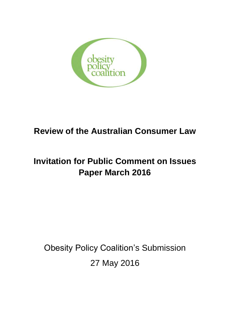

## **Review of the Australian Consumer Law**

# **Invitation for Public Comment on Issues Paper March 2016**

Obesity Policy Coalition's Submission 27 May 2016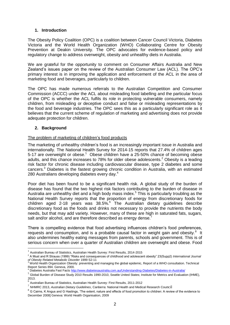## **1. Introduction**

The Obesity Policy Coalition (OPC) is a coalition between Cancer Council Victoria, Diabetes Victoria and the World Health Organization (WHO) Collaborating Centre for Obesity Prevention at Deakin University. The OPC advocates for evidence-based policy and regulatory change to address overweight, obesity and unhealthy diets in Australia.

We are grateful for the opportunity to comment on Consumer Affairs Australia and New Zealand's issues paper on the review of the Australian Consumer Law (ACL). The OPC's primary interest is in improving the application and enforcement of the ACL in the area of marketing food and beverages, particularly to children.

The OPC has made numerous referrals to the Australian Competition and Consumer Commission (ACCC) under the ACL about misleading food labelling and the particular focus of the OPC is whether the ACL fulfils its role in protecting vulnerable consumers, namely children, from misleading or deceptive conduct and false or misleading representations by the food and beverage industries. The OPC sees this as a particularly significant role as it believes that the current scheme of regulation of marketing and advertising does not provide adequate protection for children.

## **2. Background**

-

## The problem of marketing of children's food products

The marketing of unhealthy children's food is an increasingly important issue in Australia and internationally. The National Health Survey for 2014-15 reports that 27.4% of children ages 5-17 are overweight or obese.<sup>1</sup> Obese children have a 25-50% chance of becoming obese adults, and this chance increases to 78% for older obese adolescents.<sup>2</sup> Obesity is a leading risk factor for chronic disease including cardiovascular disease, type 2 diabetes and some cancers.<sup>3</sup> Diabetes is the fastest growing chronic condition in Australia, with an estimated 280 Australians developing diabetes every day.<sup>4</sup>

Poor diet has been found to be a significant health risk. A global study of the burden of disease has found that the two highest risk factors contributing to the burden of disease in Australia are unhealthy diet and a high body mass index.<sup>5</sup> This is particularly troubling as the National Health Survey reports that the proportion of energy from discretionary foods for children aged 2-18 years was 38.5%. <sup>6</sup> The Australian dietary guidelines describe discretionary food as the foods and drinks not necessary to provide the nutrients the body needs, but that may add variety. However, many of these are high in saturated fats, sugars, salt and/or alcohol, and are therefore described as energy dense.<sup>7</sup>

There is compelling evidence that food advertising influences children's food preferences, requests and consumption, and is a probable causal factor in weight gain and obesity. $8$  It also undermines healthy eating messages from parents, schools and government. This is of serious concern when over a quarter of Australian children are overweight and obese. Food

 $<sup>1</sup>$  Australian Bureau of Statistics, Australian Health Survey: First Results, 2014-2015</sup>

<sup>2</sup> A Must and R Strauss (1999) "Risks and consequences of childhood and adolescent obesity" 23(Supp2) *International Journal of Obesity Related Metabolic Disorder* 1999 S2-11 <sup>3</sup> World Health Organization Obesity: preventing and managing the global epidemic, Report of a WHO consultation. Technical

Report Series 894. Geneva, 2000.

Diabetes Australia Fast Fact[s http://www.diabetesaustralia.com.au/Understanding-Diabetes/Diabetes-in-Australia/](http://www.diabetesaustralia.com.au/Understanding-Diabetes/Diabetes-in-Australia/)

<sup>5</sup> Global Burden of Disease Study 2010 Results 1990-2010, Seattle United States; Institute for Metrics and Evaluation (IHME), 2013.

 $^6$  Australian Bureau of Statistics, Australian Health Survey: First Results, 2011-2012

<sup>7</sup> NHMRC 2013, *Australian Dietary Guidelines*, Canberra: National Health and Medical Research Council

 $8$  G Cairns, K Angus and G Hastings, 'The extent, nature and effects of food promotion to children: A review of the evidence to December 2008] Geneva: World Health Organisation, 2009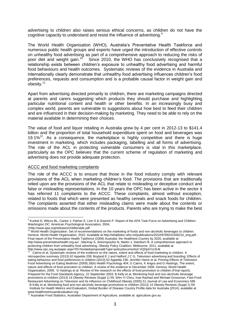advertising to children also raises serious ethical concerns, as children do not have the cognitive capacity to understand and resist the influence of advertising.<sup>9</sup>

The World Health Organisation (WHO), Australia's Preventative Health Taskforce and numerous public health groups and experts have urged the introduction of effective controls on unhealthy food advertising as part of a comprehensive approach to reducing the risks of poor diet and weight gain.<sup>10</sup> Since 2010, the WHO has conclusively recognised that a relationship exists between children's exposure to unhealthy food advertising and harmful food behaviours and health outcomes. Systematic reviews of the evidence in Australia and internationally clearly demonstrate that unhealthy food advertising influences children's food preferences, requests and consumption and is a probable causal factor in weight gain and obesity.<sup>11</sup>

Apart from advertising directed primarily to children, there are marketing campaigns directed at parents and carers suggesting which products they should purchase and highlighting particular nutritional content and health or other benefits. In an increasingly busy and complex world, parents are vulnerable to suggestions about how best to feed their children and are influenced in their decision-making by marketing. They need to be able to rely on the material available in determining their choices.

The value of food and liquor retailing in Australia grew by 4 per cent in 2012-13 to \$141.4 billion and the proportion of total household expenditure spent on food and beverages was 19.1%<sup>12</sup>. As a consequence, the marketplace is highly competitive and there is huge investment in marketing, which includes packaging, labelling and all forms of advertising. The role of the ACL in protecting vulnerable consumers is vital in this marketplace, particularly as the OPC believes that the current scheme of regulation of marketing and advertising does not provide adequate protection.

#### ACCC and food marketing complaints

The role of the ACCC is to ensure that those in the food industry comply with relevant provisions of the ACL when marketing children's food. The provisions that are traditionally relied upon are the provisions of the ACL that relate to misleading or deceptive conduct and false or misleading representations. In the 10 years the OPC has been active in the sector it has referred 11 complaints to the ACCC. These complaints, almost without exception, related to foods that which were presented as healthy cereals and snack foods for children. The complaints asserted that either misleading claims were made about the contents or omissions made about the contents of the products. Parents who are trying to make the best

-

<sup>&</sup>lt;sup>9</sup> Kunkel D, Wilcox BL, Cantor J, Palmer E, Linn S & Dowrick P. Report of the APA Task Force on Advertising and Children. Washington DC: American Psychological Association, 2004,

<sup>&</sup>lt;http://www.apa.org/releases/childrenads.pdf <sup>10</sup> World Health Organization. Set of recommendations on the marketing of foods and non-alcoholic beverages to children. Geneva: World Health Organization, 2010. Available at http://whqlibdoc.who.int/publications/2010/9789241500210\_eng.pdf ; Final report of the Preventative Health Taskforce (2009) Australia: the Healthiest Country by 2020, available at http://www.preventativehealth.org.au/ ; MacKay S, Antonopoulos N, Martin J, Swinburn B. A comprehensive approach to protecting children from unhealthy food advertising. Obesity Policy Coalition, Melbourne, 2011, available at http://www.opc.org.au/paper.aspx?ID=foodadvproposal&Type=policydocuments#.VQDp47ccSUk

<sup>11</sup> Cairns et al, Systematic reviews of the evidence on the nature, extent and effects of food marketing to children. A retrospective summary (2013) 62 Appetite 209; Boyland E J and Halford J C G, Television advertising and branding; Effects of eating behaviour and food preferences in children (2013) 62 Appetite 236; Jennifer Harris et al, Priming Effects of Television Food Advertising on Eating Beahvior (2009) 28(4) Health Psychology 404; G Cairns, K Angus and G Hastings, The extent, nature and effects of food promotion to children: A review of the evidence to December 2008, Geneva: World Health Organisation, 2009; G Hastings et al. Review of the research on the effects of food promotion to children (Final report), Prepared for the Food Standards Agency, 22 September 2003; B Kelly et al, Monitoring food and non-alcoholic beverage promotions to children (2013) 14 Obesity Reviews (Suppl 1) 59; Shin-Yi Chou, Inas Rashad and Michael Grossman, Fast-Food Restaurant Advertising on Television and Its Influence on Childhood Obesity (2005) 51 Journal of Law and Economics 599 B Kelly et al, Monitoring food and non-alcoholic beverage promotions to children (2013) 14 Obesity Reviews (Suppl 1) 59.

Institute for Health Metrics and Evaluation, Global Burden of Disease Country Profile data for Australia (2014), available at www.healthmetricsandevaluation.org

<sup>12</sup> Australian Food Statistics, Australian Department of Agriculture, available at agriculture.gov.au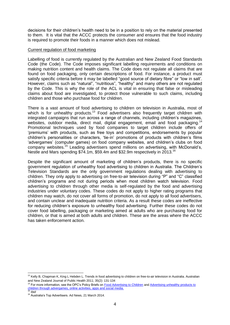decisions for their children's health need to be in a position to rely on the material presented to them. It is vital that the ACCC protects the consumer and ensures that the food industry is required to promote their foods in a manner which does not mislead.

#### Current regulation of food marketing

Labelling of food is currently regulated by the Australian and New Zealand Food Standards Code (the Code). The Code imposes significant labelling requirements and conditions on making nutrition content and health claims. The Code does not regulate all claims that are found on food packaging, only certain descriptions of food. For instance, a product must satisfy specific criteria before it may be labelled "good source of dietary fibre" or "low in salt'. However, claims such as "natural", "nutritious", "healthy" and many others are not regulated by the Code. This is why the role of the ACL is vital in ensuring that false or misleading claims about food are investigated, to protect those vulnerable to such claims, including children and those who purchase food for children.

There is a vast amount of food advertising to children on television in Australia, most of which is for unhealthy products.<sup>13</sup> Food advertisers also frequently target children with integrated campaigns that run across a range of channels, including children's magazines, websites, outdoor media, direct mail, digital engagement, email and food packaging.<sup>14</sup> Promotional techniques used by food companies to target children include offers of 'premiums' with products, such as free toys and competitions, endorsements by popular children's personalities or characters, 'tie-in' promotions of products with children's films 'advergames' (computer games) on food company websites, and children's clubs on food company websites.<sup>15</sup> Leading advertisers spend millions on advertising, with McDonald's, Nestle and Mars spending \$74.1m, \$59.4m and \$32.9m respectively in 2013.<sup>16</sup>

Despite the significant amount of marketing of children's products, there is no specific government regulation of unhealthy food advertising to children in Australia. The Children's Television Standards are the only government regulations dealing with advertising to children. They only apply to advertising on free-to-air television during "P" and "C" classified children's programs and not during periods when most children watch television. Food advertising to children through other media is self-regulated by the food and advertising industries under voluntary codes. These codes do not apply to higher rating programs that children may watch, do not cover all forms of promotion, do not apply to all food advertisers, and contain unclear and inadequate nutrition criteria. As a result these codes are ineffective for reducing children's exposure to unhealthy food advertising. Further these codes do not cover food labelling, packaging or marketing aimed at adults who are purchasing food for children, or that is aimed at both adults and children. These are the areas where the ACCC has taken enforcement action.

<sup>-</sup><sup>13</sup> Kelly B, Chapman K, King L Hebden L. Trends in food advertising to children on free-to-air television in Australia. Australian and New Zealand Journal of Public Health 2011; 35(2): 131-134

For more information, see the OPC's Policy Briefs o[n Food Advertising to Children](http://www.opc.org.au/downloads/positionpapers/policy-brief-food-advertising-to-children.pdf) and Advertising unhealthy products to [children through advergames, online activities, apps and social media.](http://www.opc.org.au/downloads/positionpapers/policy-brief-advertising-new-media-online.pdf)  <sup>15</sup> *Ibid*

<sup>16</sup> Australia's Top Advertisers. Ad News, 21 March 2014.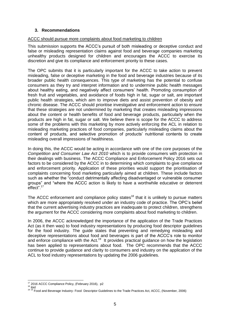## **3. Recommendations**

## ACCC should pursue more complaints about food marketing to children

This submission supports the ACCC's pursuit of both misleading or deceptive conduct and false or misleading representation claims against food and beverage companies marketing unhealthy products designed for children and encourages the ACCC to exercise its discretion and give its compliance and enforcement priority to these cases.

The OPC submits that it is particularly important for the ACCC to take action to prevent misleading, false or deceptive marketing in the food and beverage industries because of its broader public health consequences. This type of marketing has the potential to confuse consumers as they try and interpret information and to undermine public health messages about healthy eating, and negatively affect consumers' health. Promoting consumption of fresh fruit and vegetables, and avoidance of foods high in fat, sugar or salt, are important public health strategies, which aim to improve diets and assist prevention of obesity and chronic disease. The ACCC should prioritise investigative and enforcement action to ensure that these strategies are not undermined by marketing that creates misleading impressions about the content or health benefits of food and beverage products, particularly when the products are high in fat, sugar or salt. We believe there is scope for the ACCC to address some of the problems with this marketing by more actively enforcing the ACL in relation to misleading marketing practices of food companies, particularly misleading claims about the content of products, and selective promotion of products' nutritional contents to create misleading overall impressions of healthiness.

In doing this, the ACCC would be acting in accordance with one of the core purposes of the *Competition and Consumer Law Act 2010* which is to provide consumers with protection in their dealings with business. The ACCC Compliance and Enforcement Policy 2016 sets out factors to be considered by the ACCC in to determining which complaints to give compliance and enforcement priority. Application of these priorities would support the prioritisation of complaints concerning food marketing particularly aimed at children. These include factors such as whether the "conduct detrimentally affecting disadvantaged or vulnerable consumer groups" and "where the ACCC action is likely to have a worthwhile educative or deterrent effect".<sup>17</sup>

The ACCC enforcement and compliance policy states<sup>18</sup> that it is unlikely to pursue matters which are more appropriately resolved under an industry code of practice. The OPC's belief that the current advertising industry practices are inadequate to protect children, strengthens the argument for the ACCC considering more complaints about food marketing to children.

In 2006, the ACCC acknowledged the importance of the application of the Trade Practices Act (as it then was) to food industry representations by producing food descriptor guidelines for the food industry. The guide states that preventing and remedying misleading and deceptive representations about food and beverages is part of the ACCC's role to monitor and enforce compliance with the Act.<sup>19</sup> It provides practical guidance on how the legislation has been applied to representations about food. The OPC recommends that the ACCC continue to provide guidance and clarity to consumers and industry on the application of the ACL to food industry representations by updating the 2006 guidelines.

<sup>-</sup><sup>17</sup> 2016 ACCC Compliance Policy, (February 2016), p2

<sup>&</sup>lt;sup>18</sup> ibid <sup>19 19</sup> Food and Beverage Industry- Food Descriptor Guidelines to the Trade Practices Act, ACCC, (November, 2006)